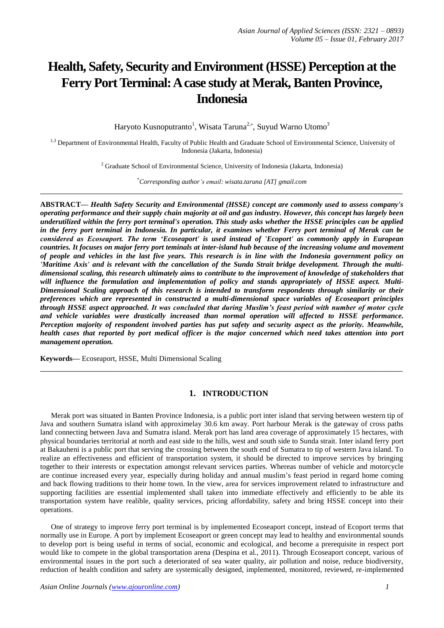# **Health, Safety, Security and Environment (HSSE) Perception at the Ferry Port Terminal: A case study at Merak, Banten Province, Indonesia**

Haryoto Kusnoputranto<sup>1</sup>, Wisata Taruna<sup>2,\*</sup>, Suyud Warno Utomo<sup>3</sup>

<sup>1,3</sup> Department of Environmental Health, Faculty of Public Health and Graduate School of Environmental Science, University of Indonesia (Jakarta, Indonesia)

<sup>2</sup> Graduate School of Environmental Science, University of Indonesia (Jakarta, Indonesia)

\**Corresponding author's email: wisata.taruna [AT] gmail.com* **\_\_\_\_\_\_\_\_\_\_\_\_\_\_\_\_\_\_\_\_\_\_\_\_\_\_\_\_\_\_\_\_\_\_\_\_\_\_\_\_\_\_\_\_\_\_\_\_\_\_\_\_\_\_\_\_\_\_\_\_\_\_\_\_\_\_\_\_\_\_\_\_\_\_\_\_\_\_\_\_\_**

**ABSTRACT—** *Health Safety Security and Environmental (HSSE) concept are commonly used to assess company's operating performance and their supply chain majority at oil and gas industry. However, this concept has largely been underutilized within the ferry port terminal's operation. This study asks whether the HSSE principles can be applied in the ferry port terminal in Indonesia. In particular, it examines whether Ferry port terminal of Merak can be considered as Ecoseaport. The term 'Ecoseaport' is used instead of 'Ecoport' as commonly apply in European countries. It focuses on major ferry port teminals at inter-island hub because of the increasing volume and movement of people and vehicles in the last five years. This research is in line with the Indonesia government policy on 'Maritime Axis' and is relevant with the cancellation of the Sunda Strait bridge development. Through the multidimensional scaling, this research ultimately aims to contribute to the improvement of knowledge of stakeholders that will influence the formulation and implementation of policy and stands appropriately of HSSE aspect. Multi-Dimensional Scaling approach of this research is intended to transform respondents through similarity or their preferences which are represented in constructed a multi-dimensional space variables of Ecoseaport principles through HSSE aspect approached. It was concluded that during Muslim's feast period with number of motor cycle and vehicle variables were drastically increased than normal operation will affected to HSSE performance. Perception majority of respondent involved parties has put safety and security aspect as the priority. Meanwhile, health cases that reported by port medical officer is the major concerned which need takes attention into port management operation.*

**Keywords—** Ecoseaport, HSSE, Multi Dimensional Scaling

## **1. INTRODUCTION**

**\_\_\_\_\_\_\_\_\_\_\_\_\_\_\_\_\_\_\_\_\_\_\_\_\_\_\_\_\_\_\_\_\_\_\_\_\_\_\_\_\_\_\_\_\_\_\_\_\_\_\_\_\_\_\_\_\_\_\_\_\_\_\_\_\_\_\_\_\_\_\_\_\_\_\_\_\_\_\_\_\_**

Merak port was situated in Banten Province Indonesia, is a public port inter island that serving between western tip of Java and southern Sumatra island with approximelay 30.6 km away. Port harbour Merak is the gateway of cross paths land connecting between Java and Sumatra island. Merak port has land area coverage of approximately 15 hectares, with physical boundaries territorial at north and east side to the hills, west and south side to Sunda strait. Inter island ferry port at Bakauheni is a public port that serving the crossing between the south end of Sumatra to tip of western Java island. To realize an effectiveness and efficient of transportation system, it should be directed to improve services by bringing together to their interests or expectation amongst relevant services parties. Whereas number of vehicle and motorcycle are continue increased every year, especially during holiday and annual muslim's feast period in regard home coming and back flowing traditions to their home town. In the view, area for services improvement related to infrastructure and supporting facilities are essential implemented shall taken into immediate effectively and efficiently to be able its transportation system have realible, quality services, pricing affordability, safety and bring HSSE concept into their operations.

One of strategy to improve ferry port terminal is by implemented Ecoseaport concept, instead of Ecoport terms that normally use in Europe. A port by implement Ecoseaport or green concept may lead to healthy and environmental sounds to develop port is being useful in terms of social, economic and ecological, and become a prerequisite in respect port would like to compete in the global transportation arena (Despina et al., 2011). Through Ecoseaport concept, various of environmental issues in the port such a deteriorated of sea water quality, air pollution and noise, reduce biodiversity, reduction of health condition and safety are systemically designed, implemented, monitored, reviewed, re-implemented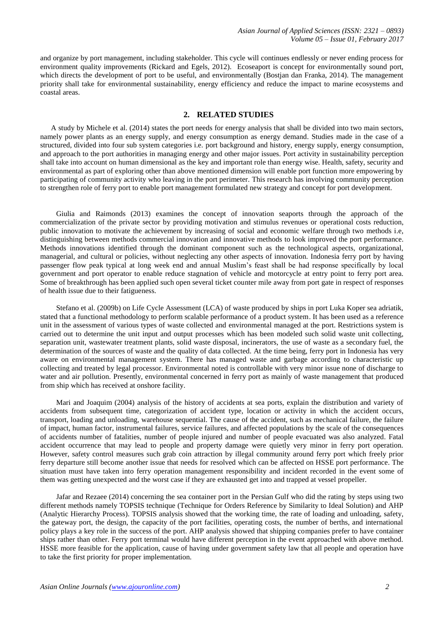and organize by port management, including stakeholder. This cycle will continues endlessly or never ending process for environment quality improvements (Rickard and Egels, 2012). Ecoseaport is concept for environmentally sound port, which directs the development of port to be useful, and environmentally (Bostjan dan Franka, 2014). The management priority shall take for environmental sustainability, energy efficiency and reduce the impact to marine ecosystems and coastal areas.

#### **2. RELATED STUDIES**

A study by Michele et al. (2014) states the port needs for energy analysis that shall be divided into two main sectors, namely power plants as an energy supply, and energy consumption as energy demand. Studies made in the case of a structured, divided into four sub system categories i.e. port background and history, energy supply, energy consumption, and approach to the port authorities in managing energy and other major issues. Port activity in sustainability perception shall take into account on human dimensional as the key and important role than energy wise. Health, safety, security and environmental as part of exploring other than above mentioned dimension will enable port function more empowering by participating of community activity who leaving in the port perimeter. This research has involving community perception to strengthen role of ferry port to enable port management formulated new strategy and concept for port development.

Giulia and Raimonds (2013) examines the concept of innovation seaports through the approach of the commercialization of the private sector by providing motivation and stimulus revenues or operational costs reduction, public innovation to motivate the achievement by increasing of social and economic welfare through two methods i.e, distinguishing between methods commercial innovation and innovative methods to look improved the port performance. Methods innovations identified through the dominant component such as the technological aspects, organizational, managerial, and cultural or policies, without neglecting any other aspects of innovation. Indonesia ferry port by having passenger flow peak typical at long week end and annual Muslim's feast shall be had response specifically by local government and port operator to enable reduce stagnation of vehicle and motorcycle at entry point to ferry port area. Some of breakthrough has been applied such open several ticket counter mile away from port gate in respect of responses of health issue due to their fatigueness.

Stefano et al. (2009b) on Life Cycle Assessment (LCA) of waste produced by ships in port Luka Koper sea adriatik, stated that a functional methodology to perform scalable performance of a product system. It has been used as a reference unit in the assessment of various types of waste collected and environmental managed at the port. Restrictions system is carried out to determine the unit input and output processes which has been modeled such solid waste unit collecting, separation unit, wastewater treatment plants, solid waste disposal, incinerators, the use of waste as a secondary fuel, the determination of the sources of waste and the quality of data collected. At the time being, ferry port in Indonesia has very aware on environmental management system. There has managed waste and garbage according to characteristic up collecting and treated by legal processor. Environmental noted is controllable with very minor issue none of discharge to water and air pollution. Presently, environmental concerned in ferry port as mainly of waste management that produced from ship which has received at onshore facility.

Mari and Joaquim (2004) analysis of the history of accidents at sea ports, explain the distribution and variety of accidents from subsequent time, categorization of accident type, location or activity in which the accident occurs, transport, loading and unloading, warehouse sequential. The cause of the accident, such as mechanical failure, the failure of impact, human factor, instrumental failures, service failures, and affected populations by the scale of the consequences of accidents number of fatalities, number of people injured and number of people evacuated was also analyzed. Fatal accident occurrence that may lead to people and property damage were quietly very minor in ferry port operation. However, safety control measures such grab coin attraction by illegal community around ferry port which freely prior ferry departure still become another issue that needs for resolved which can be affected on HSSE port performance. The situation must have taken into ferry operation management responsibility and incident recorded in the event some of them was getting unexpected and the worst case if they are exhausted get into and trapped at vessel propeller.

Jafar and Rezaee (2014) concerning the sea container port in the Persian Gulf who did the rating by steps using two different methods namely TOPSIS technique (Technique for Orders Reference by Similarity to Ideal Solution) and AHP (Analytic Hierarchy Process). TOPSIS analysis showed that the working time, the rate of loading and unloading, safety, the gateway port, the design, the capacity of the port facilities, operating costs, the number of berths, and international policy plays a key role in the success of the port. AHP analysis showed that shipping companies prefer to have container ships rather than other. Ferry port terminal would have different perception in the event approached with above method. HSSE more feasible for the application, cause of having under government safety law that all people and operation have to take the first priority for proper implementation.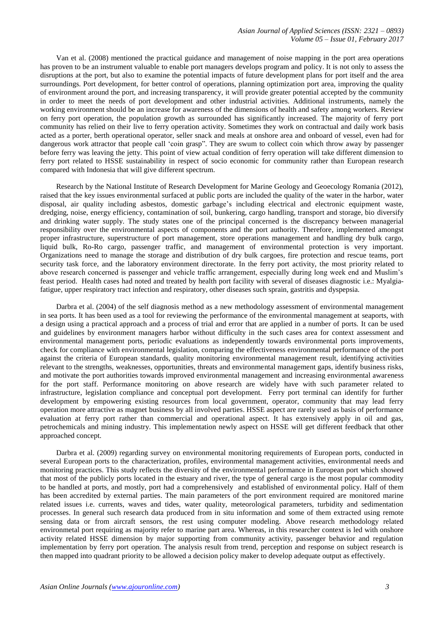Van et al. (2008) mentioned the practical guidance and management of noise mapping in the port area operations has proven to be an instrument valuable to enable port managers develops program and policy. It is not only to assess the disruptions at the port, but also to examine the potential impacts of future development plans for port itself and the area surroundings. Port development, for better control of operations, planning optimization port area, improving the quality of environment around the port, and increasing transparency, it will provide greater potential accepted by the community in order to meet the needs of port development and other industrial activities. Additional instruments, namely the working environment should be an increase for awareness of the dimensions of health and safety among workers. Review on ferry port operation, the population growth as surrounded has significantly increased. The majority of ferry port community has relied on their live to ferry operation activity. Sometimes they work on contractual and daily work basis acted as a porter, berth operational operator, seller snack and meals at onshore area and onboard of vessel, even had for dangerous work attractor that people call 'coin grasp". They are swum to collect coin which throw away by passenger before ferry was leaving the jetty. This point of view actual condition of ferry operation will take different dimension to ferry port related to HSSE sustainability in respect of socio economic for community rather than European research compared with Indonesia that will give different spectrum.

Research by the National Institute of Research Development for Marine Geology and Geoecology Romania (2012), raised that the key issues environmental surfaced at public ports are included the quality of the water in the harbor, water disposal, air quality including asbestos, domestic garbage's including electrical and electronic equipment waste, dredging, noise, energy efficiency, contamination of soil, bunkering, cargo handling, transport and storage, bio diversify and drinking water supply. The study states one of the principal concerned is the discrepancy between managerial responsibility over the environmental aspects of components and the port authority. Therefore, implemented amongst proper infrastructure, superstructure of port management, store operations management and handling dry bulk cargo, liquid bulk, Ro-Ro cargo, passenger traffic, and management of environmental protection is very important. Organizations need to manage the storage and distribution of dry bulk cargoes, fire protection and rescue teams, port security task force, and the laboratory environment directorate. In the ferry port activity, the most priority related to above research concerned is passenger and vehicle traffic arrangement, especially during long week end and Muslim's feast period. Health cases had noted and treated by health port facility with several of diseases diagnostic i.e.: Myalgiafatigue, upper respiratory tract infection and respiratory, other diseases such sprain, gastritis and dyspepsia.

Darbra et al. (2004) of the self diagnosis method as a new methodology assessment of environmental management in sea ports. It has been used as a tool for reviewing the performance of the environmental management at seaports, with a design using a practical approach and a process of trial and error that are applied in a number of ports. It can be used and guidelines by environment managers harbor without difficulty in the such cases area for context assessment and environmental management ports, periodic evaluations as independently towards environmental ports improvements, check for compliance with environmental legislation, comparing the effectiveness environmental performance of the port against the criteria of European standards, quality monitoring environmental management result, identifying activities relevant to the strengths, weaknesses, opportunities, threats and environmental management gaps, identify business risks, and motivate the port authorities towards improved environmental management and increasing environmental awareness for the port staff. Performance monitoring on above research are widely have with such parameter related to infrastructure, legislation compliance and conceptual port development. Ferry port terminal can identify for further development by empowering existing resources from local government, operator, community that may lead ferry operation more attractive as magnet business by all involved parties. HSSE aspect are rarely used as basis of performance evaluation at ferry port rather than commercial and operational aspect. It has extensively apply in oil and gas, petrochemicals and mining industry. This implementation newly aspect on HSSE will get different feedback that other approached concept.

Darbra et al. (2009) regarding survey on environmental monitoring requirements of European ports, conducted in several European ports to the characterization, profiles, environmental management activities, environmental needs and monitoring practices. This study reflects the diversity of the environmental performance in European port which showed that most of the publicly ports located in the estuary and river, the type of general cargo is the most popular commodity to be handled at ports, and mostly, port had a comprehensively and established of environmental policy. Half of them has been accredited by external parties. The main parameters of the port environment required are monitored marine related issues i.e. currents, waves and tides, water quality, meteorological parameters, turbidity and sedimentation processes. In general such research data produced from in situ information and some of them extracted using remote sensing data or from aircraft sensors, the rest using computer modeling. Above research methodology related environmetal port requiring as majority refer to marine part area. Whereas, in this researcher context is led with onshore activity related HSSE dimension by major supporting from community activity, passenger behavior and regulation implementation by ferry port operation. The analysis result from trend, perception and response on subject research is then mapped into quadrant priority to be allowed a decision policy maker to develop adequate output as effectively.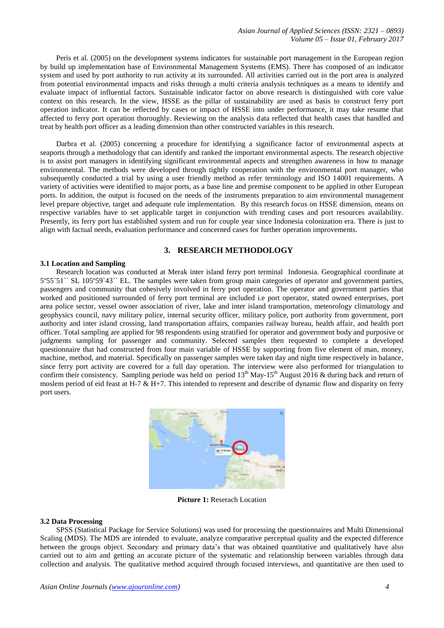Peris et al. (2005) on the development systems indicators for sustainable port management in the European region by build up implementation base of Environmental Management Systems (EMS). There has composed of an indicator system and used by port authority to run activity at its surrounded. All activities carried out in the port area is analyzed from potential environmental impacts and risks through a multi criteria analysis techniques as a means to identify and evaluate impact of influential factors. Sustainable indicator factor on above research is distinguished with core value context on this research. In the view, HSSE as the pillar of sustainability are used as basis to construct ferry port operation indicator. It can be reflected by cases or impact of HSSE into under performance, it may take resume that affected to ferry port operation thoroughly. Reviewing on the analysis data reflected that health cases that handled and treat by health port officer as a leading dimension than other constructed variables in this research.

Darbra et al. (2005) concerning a procedure for identifying a significance factor of environmental aspects at seaports through a methodology that can identify and ranked the important environmental aspects. The research objective is to assist port managers in identifying significant environmental aspects and strengthen awareness in how to manage environmental. The methods were developed through tightly cooperation with the environmental port manager, who subsequently conducted a trial by using a user friendly method as refer terminology and ISO 14001 requirements. A variety of activities were identified to major ports, as a base line and premise component to be applied in other European ports. In addition, the output is focused on the needs of the instruments preparation to aim environmental management level prepare objective, target and adequate rule implementation. By this research focus on HSSE dimension, means on respective variables have to set applicable target in conjunction with trending cases and port resources availability. Presently, its ferry port has established system and run for couple year since Indonesia colonization era. There is just to align with factual needs, evaluation performance and concerned cases for further operation improvements.

# **3. RESEARCH METHODOLOGY**

#### **3.1 Location and Sampling**

Research location was conducted at Merak inter island ferry port terminal Indonesia. Geographical coordinate at 5º55`51`` SL 105º59`43`` EL. The samples were taken from group main categories of operator and government parties, passengers and community that cohesively involved in ferry port operation. The operator and government parties that worked and positioned surrounded of ferry port terminal are included i.e port operator, stated owned enterprises, port area police sector, vessel owner association of river, lake and inter island transportation, meteorology climatology and geophysics council, navy military police, internal security officer, military police, port authority from government, port authority and inter island crossing, land transportation affairs, companies railway bureau, health affair, and health port officer. Total sampling are applied for 98 respondents using stratified for operator and government body and purposive or judgments sampling for passenger and community. Selected samples then requested to complete a developed questionnaire that had constructed from four main variable of HSSE by supporting from five element of man, money, machine, method, and material. Specifically on passenger samples were taken day and night time respectively in balance, since ferry port activity are covered for a full day operation. The interview were also performed for triangulation to confirm their consistency. Sampling periode was held on period  $13<sup>th</sup>$  May-15<sup>th</sup> August 2016 & during back and return of moslem period of eid feast at H-7  $\&$  H+7. This intended to represent and describe of dynamic flow and disparity on ferry port users.



**Picture 1:** Reserach Location

#### **3.2 Data Processing**

SPSS (Statistical Package for Service Solutions) was used for processing the questionnaires and Multi Dimensional Scaling (MDS). The MDS are intended to evaluate, analyze comparative perceptual quality and the expected difference between the groups object. Secondary and primary data's that was obtained quantitative and qualitatively have also carried out to aim and getting an accurate picture of the systematic and relationship between variables through data collection and analysis. The qualitative method acquired through focused interviews, and quantitative are then used to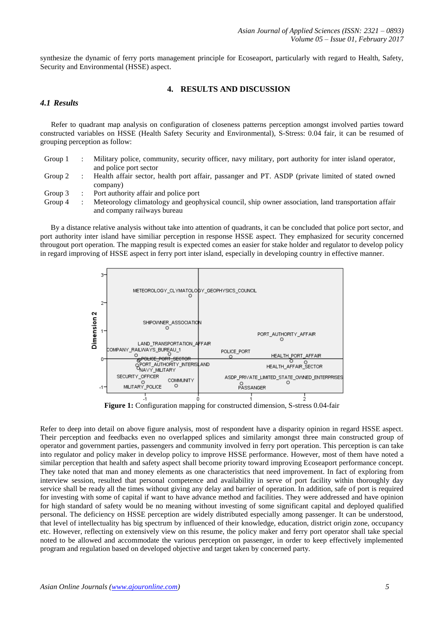synthesize the dynamic of ferry ports management principle for Ecoseaport, particularly with regard to Health, Safety, Security and Environmental (HSSE) aspect.

## **4. RESULTS AND DISCUSSION**

# *4.1 Results*

Refer to quadrant map analysis on configuration of closeness patterns perception amongst involved parties toward constructed variables on HSSE (Health Safety Security and Environmental), S-Stress: 0.04 fair, it can be resumed of grouping perception as follow:

| Group $1$ : | Military police, community, security officer, navy military, port authority for inter island operator, |
|-------------|--------------------------------------------------------------------------------------------------------|
|             | and police port sector                                                                                 |

Group 2 : Health affair sector, health port affair, passanger and PT. ASDP (private limited of stated owned company)

Group 3 : Port authority affair and police port

Group 4 : Meteorology climatology and geophysical council, ship owner association, land transportation affair and company railways bureau

By a distance relative analysis without take into attention of quadrants, it can be concluded that police port sector, and port authority inter island have similiar perception in response HSSE aspect. They emphasized for security concerned througout port operation. The mapping result is expected comes an easier for stake holder and regulator to develop policy in regard improving of HSSE aspect in ferry port inter island, especially in developing country in effective manner.



**Figure 1:** Configuration mapping for constructed dimension, S-stress 0.04-fair

Refer to deep into detail on above figure analysis, most of respondent have a disparity opinion in regard HSSE aspect. Their perception and feedbacks even no overlapped splices and similarity amongst three main constructed group of operator and government parties, passengers and community involved in ferry port operation. This perception is can take into regulator and policy maker in develop policy to improve HSSE performance. However, most of them have noted a similar perception that health and safety aspect shall become priority toward improving Ecoseaport performance concept. They take noted that man and money elements as one characteristics that need improvement. In fact of exploring from interview session, resulted that personal competence and availability in serve of port facility within thoroughly day service shall be ready all the times without giving any delay and barrier of operation. In addition, safe of port is required for investing with some of capital if want to have advance method and facilities. They were addressed and have opinion for high standard of safety would be no meaning without investing of some significant capital and deployed qualified personal. The deficiency on HSSE perception are widely distributed especially among passenger. It can be understood, that level of intellectuality has big spectrum by influenced of their knowledge, education, district origin zone, occupancy etc. However, reflecting on extensively view on this resume, the policy maker and ferry port operator shall take special noted to be allowed and accommodate the various perception on passenger, in order to keep effectively implemented program and regulation based on developed objective and target taken by concerned party.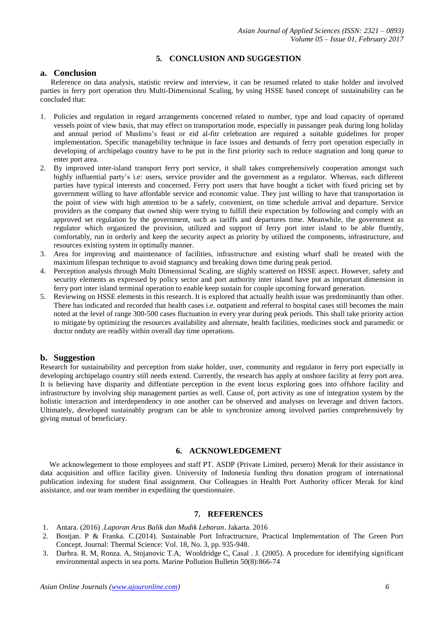# **5. CONCLUSION AND SUGGESTION**

## **a. Conclusion**

Reference on data analysis, statistic review and interview, it can be resumed related to stake holder and involved parties in ferry port operation thru Multi-Dimensional Scaling, by using HSSE based concept of sustainability can be concluded that:

- 1. Policies and regulation in regard arrangements concerned related to number, type and load capacity of operated vessels point of view basis, that may effect on transportation mode, especially in passanger peak during long holiday and annual period of Muslims's feast or eid al-fitr celebration are required a suitable guidelines for proper implementation. Specific managebility technique in face issues and demands of ferry port operation especially in developing of archipelago country have to be put in the first priority such to reduce stagnation and long queue to enter port area.
- 2. By improved inter-island transport ferry port service, it shall takes comprehensively cooperation amongst such highly influential party's i.e: users, service provider and the government as a regulator. Whereas, each different parties have typical interests and concerned. Ferry port users that have bought a ticket with fixed pricing set by government willing to have affordable service and economic value. They just willing to have that transportation in the point of view with high attention to be a safely, convenient, on time schedule arrival and departure. Service providers as the company that owned ship were trying to fulfill their expectation by following and comply with an approved set regulation by the government, such as tariffs and departures time. Meanwhile, the government as regulator which organized the provision, utilized and support of ferry port inter island to be able fluently, comfortably, run in orderly and keep the security aspect as priority by utilized the components, infrastructure, and resources existing system in optimally manner.
- 3. Area for improving and maintenance of facilities, infrastructure and existing wharf shall be treated with the maximum lifespan technique to avoid stagnancy and breaking down time during peak period.
- 4. Perception analysis through Multi Dimensional Scaling, are slighly scattered on HSSE aspect. However, safety and security elements as expressed by policy sector and port authority inter island have put as important dimension in ferry port inter island terminal operation to enable keep sustain for couple upcoming forward generation.
- 5. Reviewing on HSSE elements in this research. It is explored that actually health issue was predominantly than other. There has indicated and recorded that health cases i.e. outpatient and referral to hospital cases still becomes the main noted at the level of range 300-500 cases fluctuation in every year during peak periods. This shall take priority action to mitigate by optimizing the resources availability and alternate, health facilities, medicines stock and paramedic or doctor onduty are readily within overall day time operations.

# **b. Suggestion**

Research for sustainability and perception from stake holder, user, community and regulator in ferry port especially in developing archipelago country still needs extend. Currently, the research has apply at onshore facility at ferry port area. It is believing have disparity and diffentiate perception in the event locus exploring goes into offshore facility and infrastructure by involving ship management parties as well. Cause of, port activity as one of integration system by the holistic interaction and interdependency in one another can be observed and analyses on leverage and driven factors. Ultimately, developed sustainably program can be able to synchronize among involved parties comprehensively by giving mutual of beneficiary.

## **6. ACKNOWLEDGEMENT**

We acknowlegement to those employees and staff PT. ASDP (Private Limited, persero) Merak for their assistance in data acquisition and office facility given. University of Indonesia funding thru donation program of international publication indexing for student final assignment. Our Colleagues in Health Port Authority officer Merak for kind assistance, and our team member in expediting the questionnaire.

## **7. REFERENCES**

- 1. Antara. (2016) .*Laporan Arus Balik dan Mudik Lebaran*. Jakarta. 2016
- 2. Bostjan. P & Franka. C.(2014). Sustainable Port Infractructure, Practical Implementation of The Green Port Concept. Journal: Thermal Science: Vol. 18, No. 3, pp. 935-948.
- 3. Darbra. R. M, Ronza. A, Stojanovic T.A, Wooldridge C, Casal . J. (2005). A procedure for identifying significant environmental aspects in sea ports. Marine Pollution Bulletin 50(8):866-74